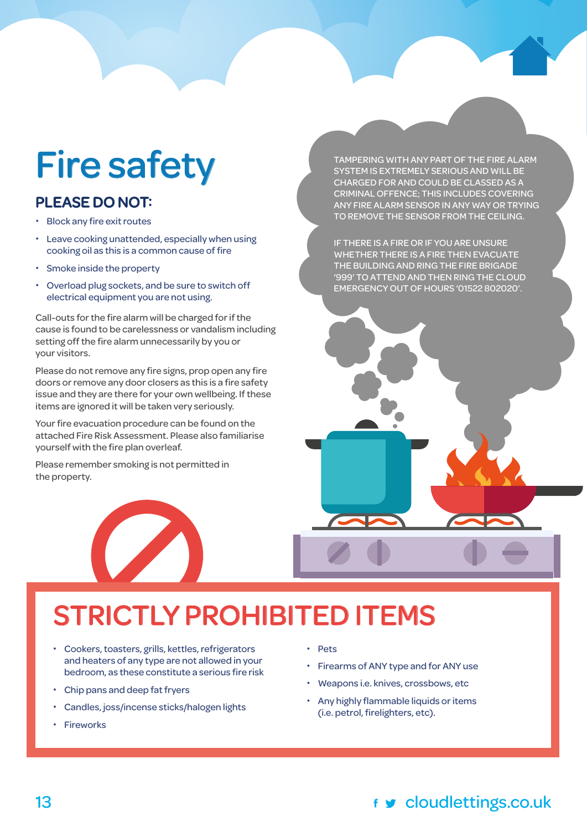# Fire safety

#### PLEASE DO NOT:

- **•** Block any fire exit routes
- **•** Leave cooking unattended, especially when using cooking oil as this is a common cause of fire
- **•** Smoke inside the property
- **•** Overload plug sockets, and be sure to switch off electrical equipment you are not using.

Call-outs for the fire alarm will be charged for if the cause is found to be carelessness or vandalism including setting off the fire alarm unnecessarily by you or your visitors.

Please do not remove any fire signs, prop open any fire doors or remove any door closers as this is a fire safety issue and they are there for your own wellbeing. If these items are ignored it will be taken very seriously.

Your fire evacuation procedure can be found on the attached Fire Risk Assessment. Please also familiarise yourself with the fire plan overleaf.

Please remember smoking is not permitted in the property.



TAMPERING WITH ANY PART OF THE FIRE ALARM SYSTEM IS EXTREMELY SERIOUS AND WILL BE CHARGED FOR AND COULD BE CLASSED AS A CRIMINAL OFFENCE; THIS INCLUDES COVERING ANY FIRE ALARM SENSOR IN ANY WAY OR TRYING TO REMOVE THE SENSOR FROM THE CEILING.

IF THERE IS A FIRE OR IF YOU ARE UNSURE WHETHER THERE IS A FIRE THEN EVACUATE THE BUILDING AND RING THE FIRE BRIGADE '999' TO ATTEND AND THEN RING THE CLOUD EMERGENCY OUT OF HOURS '01522 802020'.

## STRICTLY PROHIBITED ITEMS

- **•** Cookers, toasters, grills, kettles, refrigerators and heaters of any type are not allowed in your bedroom, as these constitute a serious fire risk
- **•** Chip pans and deep fat fryers
- **•** Candles, joss/incense sticks/halogen lights
- **•** Fireworks

**•** Pets

- **•** Firearms of ANY type and for ANY use
- **•** Weapons i.e. knives, crossbows, etc
- **•** Any highly flammable liquids or items (i.e. petrol, firelighters, etc).

#### 13 cloudlettings.co.uk

cloudlettings.com